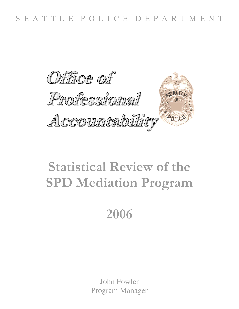

# **Statistical Review of the SPD Mediation Program**

# 2006

John Fowler Program Manager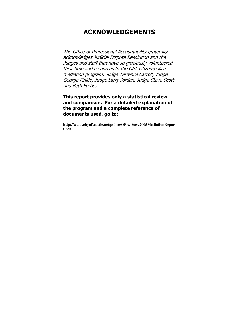## **ACKNOWLEDGEMENTS**

The Office of Professional Accountability gratefully acknowledges Judicial Dispute Resolution and the Judges and staff that have so graciously volunteered their time and resources to the OPA citizen-police mediation program; Judge Terrence Carroll, Judge George Finkle, Judge Larry Jordan, Judge Steve Scott and Beth Forbes.

This report provides only a statistical review and comparison. For a detailed explanation of the program and a complete reference of documents used, go to:

http://www.cityofseattle.net/police/OPA/Docs/2005MediationRepor t.pdf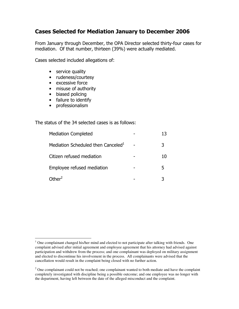## Cases Selected for Mediation January to December 2006

From January through December, the OPA Director selected thirty-four cases for mediation. Of that number, thirteen (39%) were actually mediated.

Cases selected included allegations of:

- $\bullet$  service quality
- rudeness/courtesy
- excessive force
- misuse of authority
- biased policing
- failure to identify
- professionalism

The status of the 34 selected cases is as follows:

| <b>Mediation Completed</b>                     | 13 |
|------------------------------------------------|----|
| Mediation Scheduled then Canceled <sup>1</sup> | 3  |
| Citizen refused mediation                      | 10 |
| Employee refused mediation                     | 5  |
| Other <sup>2</sup>                             |    |

 $1$  One complainant changed his/her mind and elected to not participate after talking with friends. One complaint advised after initial agreement and employee agreement that his attorney had advised against participation and withdrew from the process; and one complainant was deployed on military assignment and elected to discontinue his involvement in the process. All complainants were advised that the cancellation would result in the complaint being closed with no further action.

 $<sup>2</sup>$  One complainant could not be reached; one complainant wanted to both mediate and have the complaint</sup> completely investigated with discipline being a possible outcome; and one employee was no longer with the department, having left between the date of the alleged misconduct and the complaint.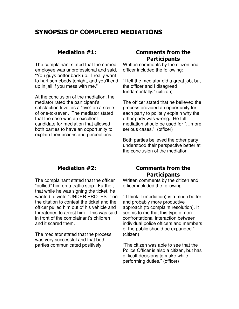## SYNOPSIS OF COMPLETED MEDIATIONS

#### Mediation  $#1$ :

The complainant stated that the named employee was unprofessional and said, "You guys better back up. I really want to hurt somebody tonight, and you'll end up in jail if you mess with me."

At the conclusion of the mediation, the mediator rated the participant's satisfaction level as a "five" on a scale of one-to-seven. The mediator stated that the case was an excellent candidate for mediation that allowed both parties to have an opportunity to explain their actions and perceptions.

#### **Comments from the Participants**

Written comments by the citizen and officer included the following:

"I felt the mediator did a great job, but the officer and I disagreed fundamentally." (citizen)

The officer stated that he believed the process provided an opportunity for each party to politely explain why the other party was wrong. He felt mediation should be used for "…more serious cases." (officer)

Both parties believed the other party understood their perspective better at the conclusion of the mediation.

#### Mediation  $#2:$

The complainant stated that the officer "bullied" him on a traffic stop. Further, that while he was signing the ticket, he wanted to write "UNDER PROTEST" on the citation to contest the ticket and the officer pulled him out of his vehicle and threatened to arrest him. This was said in front of the complainant's children and it scared them.

The mediator stated that the process was very successful and that both parties communicated positively.

#### **Comments from the Participants**

Written comments by the citizen and officer included the following:

" I think it (mediation) is a much better and probably more productive approach (to complaint resolution). It seems to me that this type of nonconfrontational interaction between individual police officers and members of the public should be expanded." (citizen)

"The citizen was able to see that the Police Officer is also a citizen, but has difficult decisions to make while performing duties." (officer)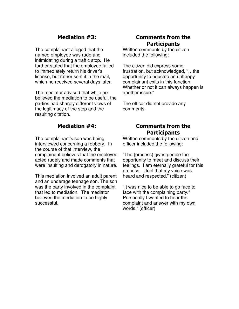## Mediation  $#3$ :

The complainant alleged that the named employee was rude and intimidating during a traffic stop. He further stated that the employee failed to immediately return his driver's license, but rather sent it in the mail, which he received several days later.

The mediator advised that while he believed the mediation to be useful, the parties had sharply different views of the legitimacy of the stop and the resulting citation.

#### Mediation  $#4$ :

The complainant's son was being interviewed concerning a robbery. In the course of that interview, the complainant believes that the employee acted rudely and made comments that were insulting and derogatory in nature.

This mediation involved an adult parent and an underage teenage son. The son was the party involved in the complaint that led to mediation. The mediator believed the mediation to be highly successful.

#### **Comments from the Participants**

Written comments by the citizen included the following:

The citizen did express some frustration, but acknowledged, "…the opportunity to educate an unhappy complainant exits in this function. Whether or not it can always happen is another issue."

The officer did not provide any comments.

## **Comments from the Participants**

Written comments by the citizen and officer included the following:

"The (process) gives people the opportunity to meet and discuss their feelings. I am eternally grateful for this process. I feel that my voice was heard and respected." (citizen)

"It was nice to be able to go face to face with the complaining party." Personally I wanted to hear the complaint and answer with my own words." (officer)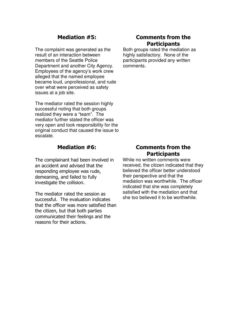## Mediation #5:

The complaint was generated as the result of an interaction between members of the Seattle Police Department and another City Agency. Employees of the agency's work crew alleged that the named employee became loud, unprofessional, and rude over what were perceived as safety issues at a job site.

The mediator rated the session highly successful noting that both groups realized they were a "team". The mediator further stated the officer was very open and took responsibility for the original conduct that caused the issue to escalate.

#### Mediation  $#6$ :

The complainant had been involved in an accident and advised that the responding employee was rude, demeaning, and failed to fully investigate the collision.

The mediator rated the session as successful. The evaluation indicates that the officer was more satisfied than the citizen, but that both parties communicated their feelings and the reasons for their actions.

#### **Comments from the Participants**

Both groups rated the mediation as highly satisfactory. None of the participants provided any written comments.

#### **Comments from the Participants**

While no written comments were received, the citizen indicated that they believed the officer better understood their perspective and that the mediation was worthwhile. The officer indicated that she was completely satisfied with the mediation and that she too believed it to be worthwhile.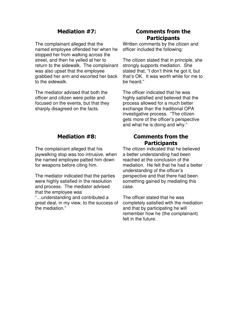## Mediation  $#7:$

The complainant alleged that the named employee offended her when he stopped her from walking across the street, and then he yelled at her to return to the sidewalk. The complainant was also upset that the employee grabbed her arm and escorted her back to the sidewalk.

The mediator advised that both the officer and citizen were polite and focused on the events, but that they sharply disagreed on the facts.

#### Mediation  $#8$ :

The complainant alleged that his jaywalking stop was too intrusive, when the named employee patted him down for weapons before citing him.

The mediator indicated that the parties were highly satisfied in the resolution and process. The mediator advised that the employee was "…understanding and contributed a great deal, in my view, to the success of the mediation."

#### **Comments from the Participants**

Written comments by the citizen and officer included the following:

The citizen stated that in principle, she strongly supports mediation. She stated that, "I don't think he got it, but that's OK. It was worth while for me to be heard."

The officer indicated that he was highly satisfied and believed that the process allowed for a much better exchange than the traditional OPA investigative process. "The citizen gets more of the officer's perspective and what he is doing and why."

#### **Comments from the Participants**

The citizen indicated that he believed a better understanding had been reached at the conclusion of the mediation. He felt that he had a better understanding of the officer's perspective and that there had been something gained by mediating this case.

The officer stated that he was completely satisfied with the mediation and that by participating he will remember how he (the complainant) felt in the future.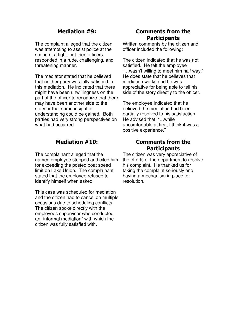## Mediation #9:

The complaint alleged that the citizen was attempting to assist police at the scene of a fight, but then officers responded in a rude, challenging, and threatening manner.

The mediator stated that he believed that neither party was fully satisfied in this mediation. He indicated that there might have been unwillingness on the part of the officer to recognize that there may have been another side to the story or that some insight or understanding could be gained. Both parties had very strong perspectives on what had occurred.

#### Mediation  $#10$ :

The complainant alleged that the named employee stopped and cited him for exceeding the posted boat speed limit on Lake Union. The complainant stated that the employee refused to identify himself when asked.

This case was scheduled for mediation and the citizen had to cancel on multiple occasions due to scheduling conflicts. The citizen spoke directly with the employees supervisor who conducted an "informal mediation" with which the citizen was fully satisfied with.

#### **Comments from the Participants**

Written comments by the citizen and officer included the following:

The citizen indicated that he was not satisfied. He felt the employee "…wasn't willing to meet him half way." He does state that he believes that mediation works and he was appreciative for being able to tell his side of the story directly to the officer.

The employee indicated that he believed the mediation had been partially resolved to his satisfaction. He advised that, "…while uncomfortable at first, I think it was a positive experience."

#### **Comments from the Participants**

The citizen was very appreciative of the efforts of the department to resolve his complaint. He thanked us for taking the complaint seriously and having a mechanism in place for resolution.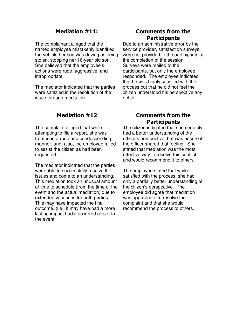#### Mediation  $#11$ :

The complainant alleged that the named employee mistakenly identified the vehicle her son was driving as being stolen, stopping her 16-year old son. She believed that the employee's actions were rude, aggressive, and inappropriate.

The mediator indicated that the parties were satisfied in the resolution of the issue through mediation.

#### **Comments from the Participants**

Due to an administrative error by the service provider, satisfaction surveys were not provided to the participants at the completion of the session. Surveys were mailed to the participants, but only the employee responded. The employee indicated that he was highly satisfied with the process but that he did not feel the citizen understood his perspective any better.

## **Mediation #12**

The complaint alleged that while attempting to file a report, she was treated in a rude and condescending manner, and, also, the employee failed to assist the citizen as had been requested.

The mediator indicated that the parties were able to successfully resolve their issues and come to an understanding. This mediation took an unusual amount of time to schedule (from the time of the event and the actual mediation) due to extended vacations for both parties. This may have impacted the final outcome. (i.e., it may have had a more lasting impact had it occurred closer to the event.

#### **Comments from the Participants**

The citizen indicated that she certainly had a better understanding of the officer's perspective, but was unsure if the officer shared that feeling. She stated that mediation was the most effective way to resolve this conflict and would recommend it to others.

The employee stated that while satisfied with the process, she had only a partially better understanding of the citizen's perspective. The employee did agree that mediation was appropriate to resolve the complaint and that she would recommend the process to others.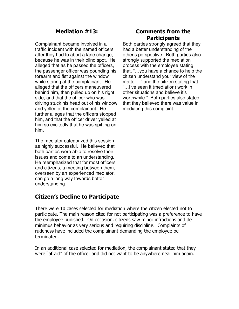## Mediation  $#13$ :

Complainant became involved in a traffic incident with the named officers after they had to abort a lane change, because he was in their blind spot. He alleged that as he passed the officers, the passenger officer was pounding his forearm and fist against the window while staring at the complainant. He alleged that the officers maneuvered behind him, then pulled up on his right side, and that the officer who was driving stuck his head out of his window and yelled at the complainant. He further alleges that the officers stopped him, and that the officer driver yelled at him so excitedly that he was spitting on him.

The mediator categorized this session as highly successful. He believed that both parties were able to resolve their issues and come to an understanding. He reemphasized that for most officers and citizens, a meeting between them, overseen by an experienced mediator, can go a long way towards better understanding.

## Citizen's Decline to Participate

#### **Comments from the Participants**

Both parties strongly agreed that they had a better understanding of the other's perspective. Both parties also strongly supported the mediation process with the employee stating that, "…you have a chance to help the citizen understand your view of the matter…" and the citizen stating that, "…I've seen it (mediation) work in other situations and believe it's worthwhile." Both parties also stated that they believed there was value in mediating this complaint.

There were 10 cases selected for mediation where the citizen elected not to participate. The main reason cited for not participating was a preference to have the employee punished. On occasion, citizens saw minor infractions and de minimus behavior as very serious and requiring discipline. Complaints of rudeness have included the complainant demanding the employee be terminated.

In an additional case selected for mediation, the complainant stated that they were "afraid" of the officer and did not want to be anywhere near him again.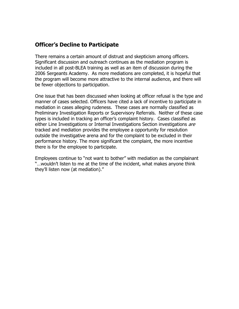## **Officer's Decline to Participate**

There remains a certain amount of distrust and skepticism among officers. Significant discussion and outreach continues as the mediation program is included in all post-BLEA training as well as an item of discussion during the 2006 Sergeants Academy. As more mediations are completed, it is hopeful that the program will become more attractive to the internal audience, and there will be fewer objections to participation.

One issue that has been discussed when looking at officer refusal is the type and manner of cases selected. Officers have cited a lack of incentive to participate in mediation in cases alleging rudeness. These cases are normally classified as Preliminary Investigation Reports or Supervisory Referrals. Neither of these case types is included in tracking an officer's complaint history. Cases classified as either Line Investigations or Internal Investigations Section investigations are tracked and mediation provides the employee a opportunity for resolution outside the investigative arena and for the complaint to be excluded in their performance history. The more significant the complaint, the more incentive there is for the employee to participate.

Employees continue to "not want to bother" with mediation as the complainant "...wouldn't listen to me at the time of the incident, what makes anyone think they'll listen now (at mediation)."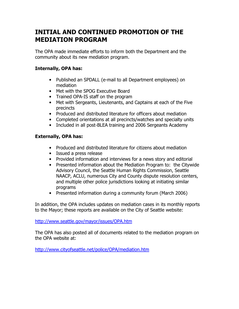## **INITIAL AND CONTINUED PROMOTION OF THE MEDIATION PROGRAM**

The OPA made immediate efforts to inform both the Department and the community about its new mediation program.

#### **Internally, OPA has:**

- Published an SPDALL (e-mail to all Department employees) on mediation
- Met with the SPOG Executive Board
- Trained OPA-IS staff on the program
- Met with Sergeants, Lieutenants, and Captains at each of the Five precincts
- Produced and distributed literature for officers about mediation
- Completed orientations at all precincts/watches and specialty units
- Included in all post-BLEA training and 2006 Sergeants Academy

#### **Externally, OPA has:**

- Produced and distributed literature for citizens about mediation
- Issued a press release
- Provided information and interviews for a news story and editorial
- Presented information about the Mediation Program to: the Citywide Advisory Council, the Seattle Human Rights Commission, Seattle NAACP, ACLU, numerous City and County dispute resolution centers, and multiple other police jurisdictions looking at initiating similar programs
- Presented information during a community forum (March 2006)

In addition, the OPA includes updates on mediation cases in its monthly reports to the Mayor; these reports are available on the City of Seattle website:

http://www.seattle.gov/mayor/issues/OPA.htm

The OPA has also posted all of documents related to the mediation program on the OPA website at:

http://www.cityofseattle.net/police/OPA/mediation.htm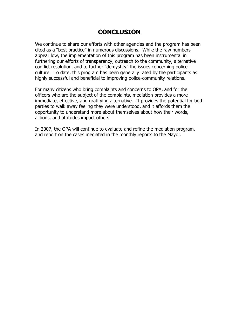## **CONCLUSION**

We continue to share our efforts with other agencies and the program has been cited as a "best practice" in numerous discussions. While the raw numbers appear low, the implementation of this program has been instrumental in furthering our efforts of transparency, outreach to the community, alternative conflict resolution, and to further "demystify" the issues concerning police culture. To date, this program has been generally rated by the participants as highly successful and beneficial to improving police-community relations.

For many citizens who bring complaints and concerns to OPA, and for the officers who are the subject of the complaints, mediation provides a more immediate, effective, and gratifying alternative. It provides the potential for both parties to walk away feeling they were understood, and it affords them the opportunity to understand more about themselves about how their words, actions, and attitudes impact others.

In 2007, the OPA will continue to evaluate and refine the mediation program, and report on the cases mediated in the monthly reports to the Mayor.